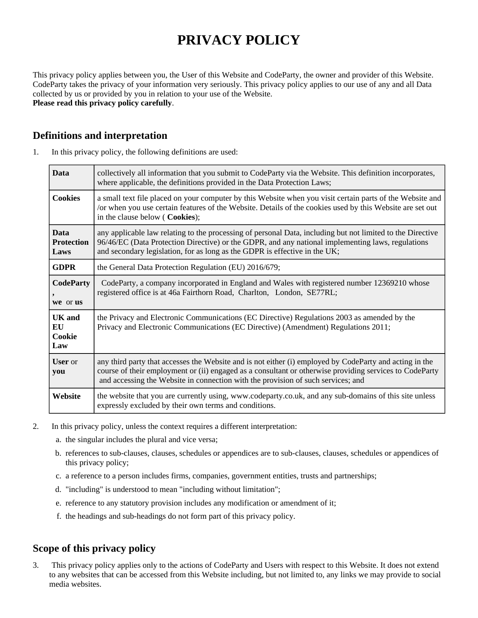# **PRIVACY POLICY**

This privacy policy applies between you, the User of this Website and CodeParty, the owner and provider of this Website. CodeParty takes the privacy of your information very seriously. This privacy policy applies to our use of any and all Data collected by us or provided by you in relation to your use of the Website. **Please read this privacy policy carefully**.

## **Definitions and interpretation**

1. In this privacy policy, the following definitions are used:

| <b>Data</b>                              | collectively all information that you submit to CodeParty via the Website. This definition incorporates,<br>where applicable, the definitions provided in the Data Protection Laws;                                                                                                                    |  |
|------------------------------------------|--------------------------------------------------------------------------------------------------------------------------------------------------------------------------------------------------------------------------------------------------------------------------------------------------------|--|
| <b>Cookies</b>                           | a small text file placed on your computer by this Website when you visit certain parts of the Website and<br>/or when you use certain features of the Website. Details of the cookies used by this Website are set out<br>in the clause below (Cookies);                                               |  |
| <b>Data</b><br><b>Protection</b><br>Laws | any applicable law relating to the processing of personal Data, including but not limited to the Directive<br>96/46/EC (Data Protection Directive) or the GDPR, and any national implementing laws, regulations<br>and secondary legislation, for as long as the GDPR is effective in the UK;          |  |
| <b>GDPR</b>                              | the General Data Protection Regulation (EU) 2016/679;                                                                                                                                                                                                                                                  |  |
| <b>CodeParty</b><br>we or us             | CodeParty, a company incorporated in England and Wales with registered number 12369210 whose<br>registered office is at 46a Fairthorn Road, Charlton, London, SE77RL;                                                                                                                                  |  |
| <b>UK</b> and<br>EU<br>Cookie<br>Law     | the Privacy and Electronic Communications (EC Directive) Regulations 2003 as amended by the<br>Privacy and Electronic Communications (EC Directive) (Amendment) Regulations 2011;                                                                                                                      |  |
| <b>User</b> or<br>you                    | any third party that accesses the Website and is not either (i) employed by CodeParty and acting in the<br>course of their employment or (ii) engaged as a consultant or otherwise providing services to CodeParty<br>and accessing the Website in connection with the provision of such services; and |  |
| Website                                  | the website that you are currently using, www.codeparty.co.uk, and any sub-domains of this site unless<br>expressly excluded by their own terms and conditions.                                                                                                                                        |  |

- 2. In this privacy policy, unless the context requires a different interpretation:
	- a. the singular includes the plural and vice versa;
	- b. references to sub-clauses, clauses, schedules or appendices are to sub-clauses, clauses, schedules or appendices of this privacy policy;
	- c. a reference to a person includes firms, companies, government entities, trusts and partnerships;
	- d. "including" is understood to mean "including without limitation";
	- e. reference to any statutory provision includes any modification or amendment of it;
	- f. the headings and sub-headings do not form part of this privacy policy.

# **Scope of this privacy policy**

3. This privacy policy applies only to the actions of CodeParty and Users with respect to this Website. It does not extend to any websites that can be accessed from this Website including, but not limited to, any links we may provide to social media websites.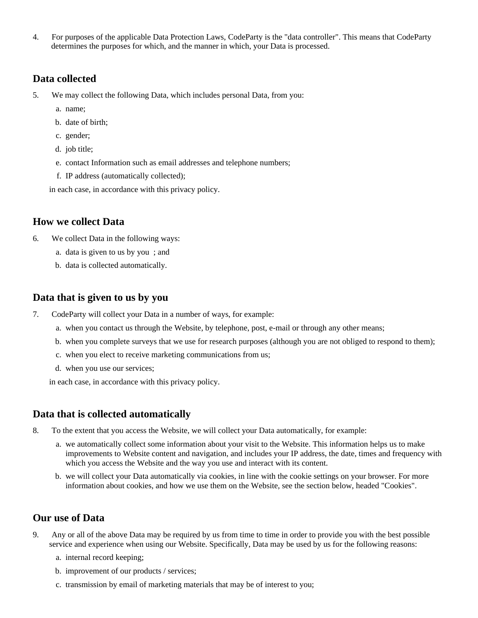4. For purposes of the applicable Data Protection Laws, CodeParty is the "data controller". This means that CodeParty determines the purposes for which, and the manner in which, your Data is processed.

#### **Data collected**

- 5. We may collect the following Data, which includes personal Data, from you:
	- a. name;
	- b. date of birth;
	- c. gender;
	- d. job title;
	- e. contact Information such as email addresses and telephone numbers;
	- f. IP address (automatically collected);

in each case, in accordance with this privacy policy.

#### **How we collect Data**

- 6. We collect Data in the following ways:
	- a. data is given to us by you ; and
	- b. data is collected automatically.

#### **Data that is given to us by you**

- 7. CodeParty will collect your Data in a number of ways, for example:
	- a. when you contact us through the Website, by telephone, post, e-mail or through any other means;
	- b. when you complete surveys that we use for research purposes (although you are not obliged to respond to them);
	- c. when you elect to receive marketing communications from us;
	- d. when you use our services;

in each case, in accordance with this privacy policy.

#### **Data that is collected automatically**

- 8. To the extent that you access the Website, we will collect your Data automatically, for example:
	- a. we automatically collect some information about your visit to the Website. This information helps us to make improvements to Website content and navigation, and includes your IP address, the date, times and frequency with which you access the Website and the way you use and interact with its content.
	- b. we will collect your Data automatically via cookies, in line with the cookie settings on your browser. For more information about cookies, and how we use them on the Website, see the section below, headed "Cookies".

#### **Our use of Data**

- 9. Any or all of the above Data may be required by us from time to time in order to provide you with the best possible service and experience when using our Website. Specifically, Data may be used by us for the following reasons:
	- a. internal record keeping;
	- b. improvement of our products / services;
	- c. transmission by email of marketing materials that may be of interest to you;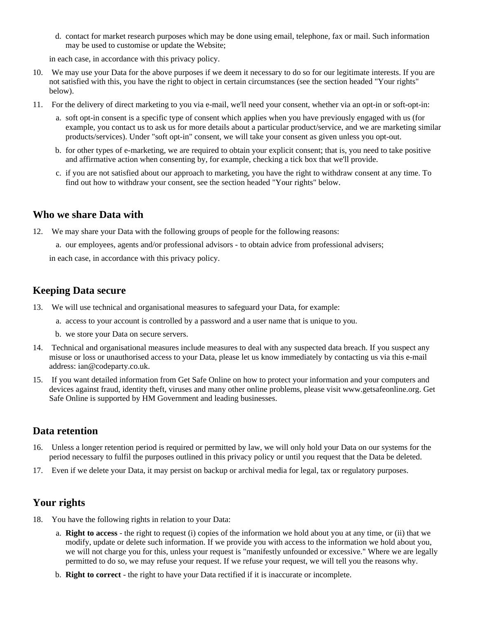d. contact for market research purposes which may be done using email, telephone, fax or mail. Such information may be used to customise or update the Website;

in each case, in accordance with this privacy policy.

- 10. We may use your Data for the above purposes if we deem it necessary to do so for our legitimate interests. If you are not satisfied with this, you have the right to object in certain circumstances (see the section headed "Your rights" below).
- 11. For the delivery of direct marketing to you via e-mail, we'll need your consent, whether via an opt-in or soft-opt-in:
	- a. soft opt-in consent is a specific type of consent which applies when you have previously engaged with us (for example, you contact us to ask us for more details about a particular product/service, and we are marketing similar products/services). Under "soft opt-in" consent, we will take your consent as given unless you opt-out.
	- b. for other types of e-marketing, we are required to obtain your explicit consent; that is, you need to take positive and affirmative action when consenting by, for example, checking a tick box that we'll provide.
	- c. if you are not satisfied about our approach to marketing, you have the right to withdraw consent at any time. To find out how to withdraw your consent, see the section headed "Your rights" below.

#### **Who we share Data with**

- 12. We may share your Data with the following groups of people for the following reasons:
	- a. our employees, agents and/or professional advisors to obtain advice from professional advisers;

in each case, in accordance with this privacy policy.

#### **Keeping Data secure**

- 13. We will use technical and organisational measures to safeguard your Data, for example:
	- a. access to your account is controlled by a password and a user name that is unique to you.
	- b. we store your Data on secure servers.
- 14. Technical and organisational measures include measures to deal with any suspected data breach. If you suspect any misuse or loss or unauthorised access to your Data, please let us know immediately by contacting us via this e-mail address: ian@codeparty.co.uk.
- 15. If you want detailed information from Get Safe Online on how to protect your information and your computers and devices against fraud, identity theft, viruses and many other online problems, please visit www.getsafeonline.org. Get Safe Online is supported by HM Government and leading businesses.

#### **Data retention**

- 16. Unless a longer retention period is required or permitted by law, we will only hold your Data on our systems for the period necessary to fulfil the purposes outlined in this privacy policy or until you request that the Data be deleted.
- 17. Even if we delete your Data, it may persist on backup or archival media for legal, tax or regulatory purposes.

# **Your rights**

- 18. You have the following rights in relation to your Data:
	- a. **Right to access** the right to request (i) copies of the information we hold about you at any time, or (ii) that we modify, update or delete such information. If we provide you with access to the information we hold about you, we will not charge you for this, unless your request is "manifestly unfounded or excessive." Where we are legally permitted to do so, we may refuse your request. If we refuse your request, we will tell you the reasons why.
	- b. **Right to correct** the right to have your Data rectified if it is inaccurate or incomplete.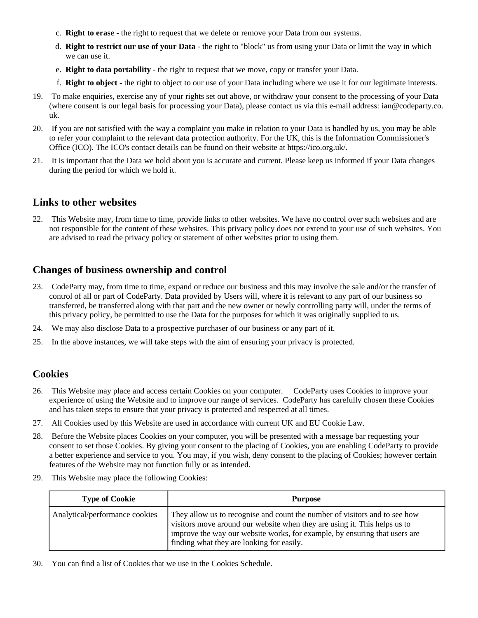- c. **Right to erase** the right to request that we delete or remove your Data from our systems.
- d. **Right to restrict our use of your Data** the right to "block" us from using your Data or limit the way in which we can use it.
- e. **Right to data portability** the right to request that we move, copy or transfer your Data.
- f. **Right to object** the right to object to our use of your Data including where we use it for our legitimate interests.
- 19. To make enquiries, exercise any of your rights set out above, or withdraw your consent to the processing of your Data (where consent is our legal basis for processing your Data), please contact us via this e-mail address: ian@codeparty.co. uk.
- 20. If you are not satisfied with the way a complaint you make in relation to your Data is handled by us, you may be able to refer your complaint to the relevant data protection authority. For the UK, this is the Information Commissioner's Office (ICO). The ICO's contact details can be found on their website at https://ico.org.uk/.
- 21. It is important that the Data we hold about you is accurate and current. Please keep us informed if your Data changes during the period for which we hold it.

#### **Links to other websites**

22. This Website may, from time to time, provide links to other websites. We have no control over such websites and are not responsible for the content of these websites. This privacy policy does not extend to your use of such websites. You are advised to read the privacy policy or statement of other websites prior to using them.

## **Changes of business ownership and control**

- 23. CodeParty may, from time to time, expand or reduce our business and this may involve the sale and/or the transfer of control of all or part of CodeParty. Data provided by Users will, where it is relevant to any part of our business so transferred, be transferred along with that part and the new owner or newly controlling party will, under the terms of this privacy policy, be permitted to use the Data for the purposes for which it was originally supplied to us.
- 24. We may also disclose Data to a prospective purchaser of our business or any part of it.
- 25. In the above instances, we will take steps with the aim of ensuring your privacy is protected.

#### **Cookies**

- 26. This Website may place and access certain Cookies on your computer. CodeParty uses Cookies to improve your experience of using the Website and to improve our range of services. CodeParty has carefully chosen these Cookies and has taken steps to ensure that your privacy is protected and respected at all times.
- 27. All Cookies used by this Website are used in accordance with current UK and EU Cookie Law.
- 28. Before the Website places Cookies on your computer, you will be presented with a message bar requesting your consent to set those Cookies. By giving your consent to the placing of Cookies, you are enabling CodeParty to provide a better experience and service to you. You may, if you wish, deny consent to the placing of Cookies; however certain features of the Website may not function fully or as intended.
- 29. This Website may place the following Cookies:

| <b>Type of Cookie</b>          | <b>Purpose</b>                                                                                                                                                                                                                                                                     |
|--------------------------------|------------------------------------------------------------------------------------------------------------------------------------------------------------------------------------------------------------------------------------------------------------------------------------|
| Analytical/performance cookies | They allow us to recognise and count the number of visitors and to see how<br>visitors move around our website when they are using it. This helps us to<br>improve the way our website works, for example, by ensuring that users are<br>finding what they are looking for easily. |

30. You can find a list of Cookies that we use in the Cookies Schedule.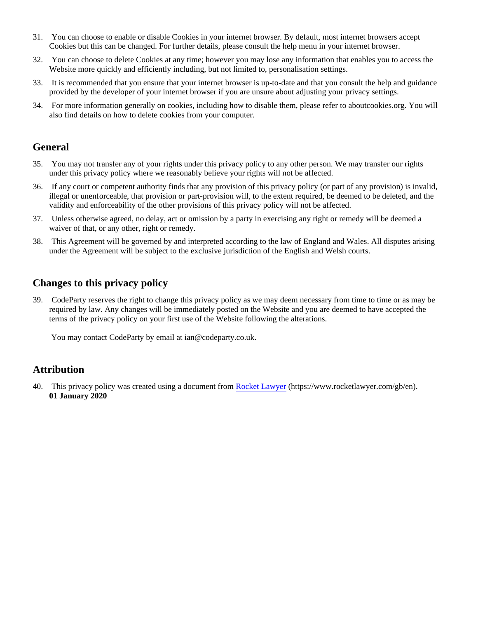- 31. You can choose to enable or disable Cookies in your internet browser. By default, most internet browsers accept Cookies but this can be changed. For further details, please consult the help menu in your internet browser.
- 32. You can choose to delete Cookies at any time; however you may lose any information that enables you to access the Website more quickly and efficiently including, but not limited to, personalisation settings.
- 33. It is recommended that you ensure that your internet browser is up-to-date and that you consult the help and guidance provided by the developer of your internet browser if you are unsure about adjusting your privacy settings.
- 34. For more information generally on cookies, including how to disable them, please refer to aboutcookies.org. You will also find details on how to delete cookies from your computer.

#### **General**

- 35. You may not transfer any of your rights under this privacy policy to any other person. We may transfer our rights under this privacy policy where we reasonably believe your rights will not be affected.
- 36. If any court or competent authority finds that any provision of this privacy policy (or part of any provision) is invalid, illegal or unenforceable, that provision or part-provision will, to the extent required, be deemed to be deleted, and the validity and enforceability of the other provisions of this privacy policy will not be affected.
- 37. Unless otherwise agreed, no delay, act or omission by a party in exercising any right or remedy will be deemed a waiver of that, or any other, right or remedy.
- 38. This Agreement will be governed by and interpreted according to the law of England and Wales. All disputes arising under the Agreement will be subject to the exclusive jurisdiction of the English and Welsh courts.

## **Changes to this privacy policy**

39. CodeParty reserves the right to change this privacy policy as we may deem necessary from time to time or as may be required by law. Any changes will be immediately posted on the Website and you are deemed to have accepted the terms of the privacy policy on your first use of the Website following the alterations.

You may contact CodeParty by email at ian@codeparty.co.uk.

### **Attribution**

40. This privacy policy was created using a document from [Rocket Lawyer](https://www.rocketlawyer.com/gb/en/) (https://www.rocketlawyer.com/gb/en). **01 January 2020**